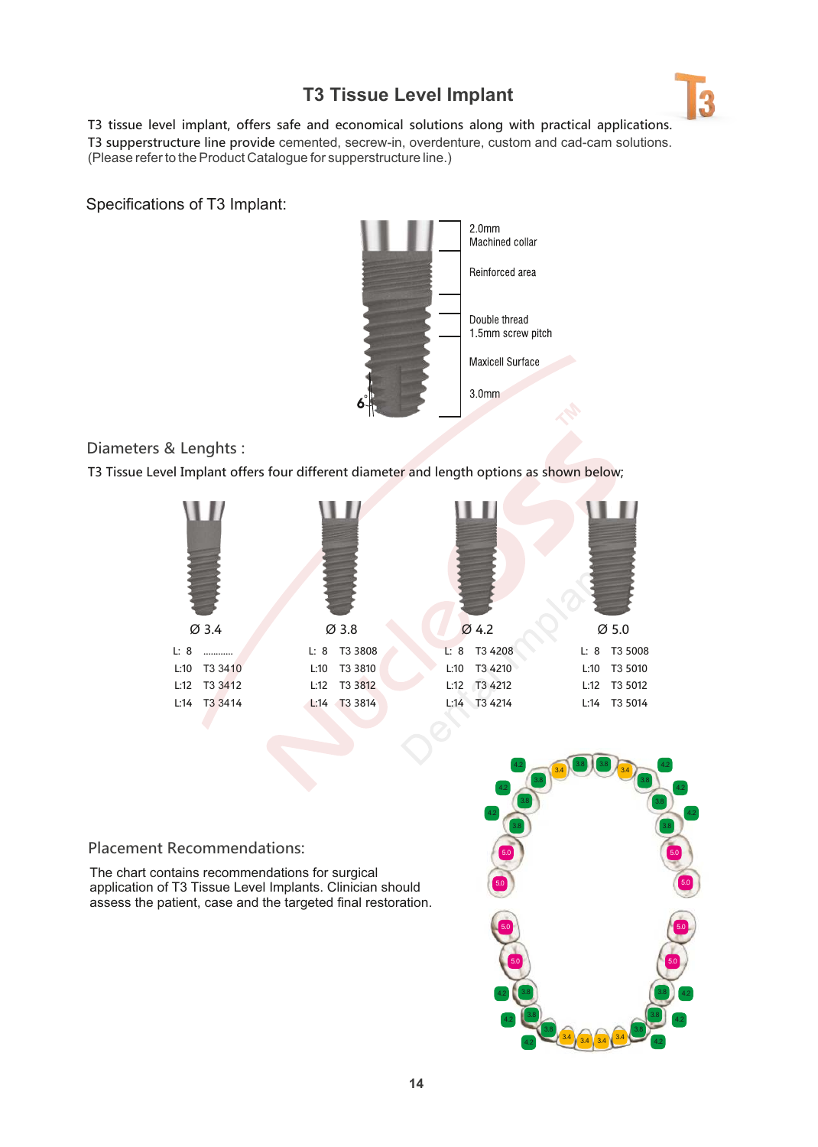## **T3 Tissue Level Implant**



T3 tissue level implant, offers safe and economical solutions along with practical applications. T3 supperstructure line provide cemented, secrew-in, overdenture, custom and cad-cam solutions. (Please refer to the Product Catalogue for supperstructure lne.)

Specifications of T3 Implant:



Diameters & Lenghts :

T3 Tissue Level Implant offers four different diameter and length options as shown below;



## Placement Recommendations:

The chart contains recommendations for surgical application of T3 Tissue Level Implants. Clinician should assess the patient, case and the targeted final restoration.

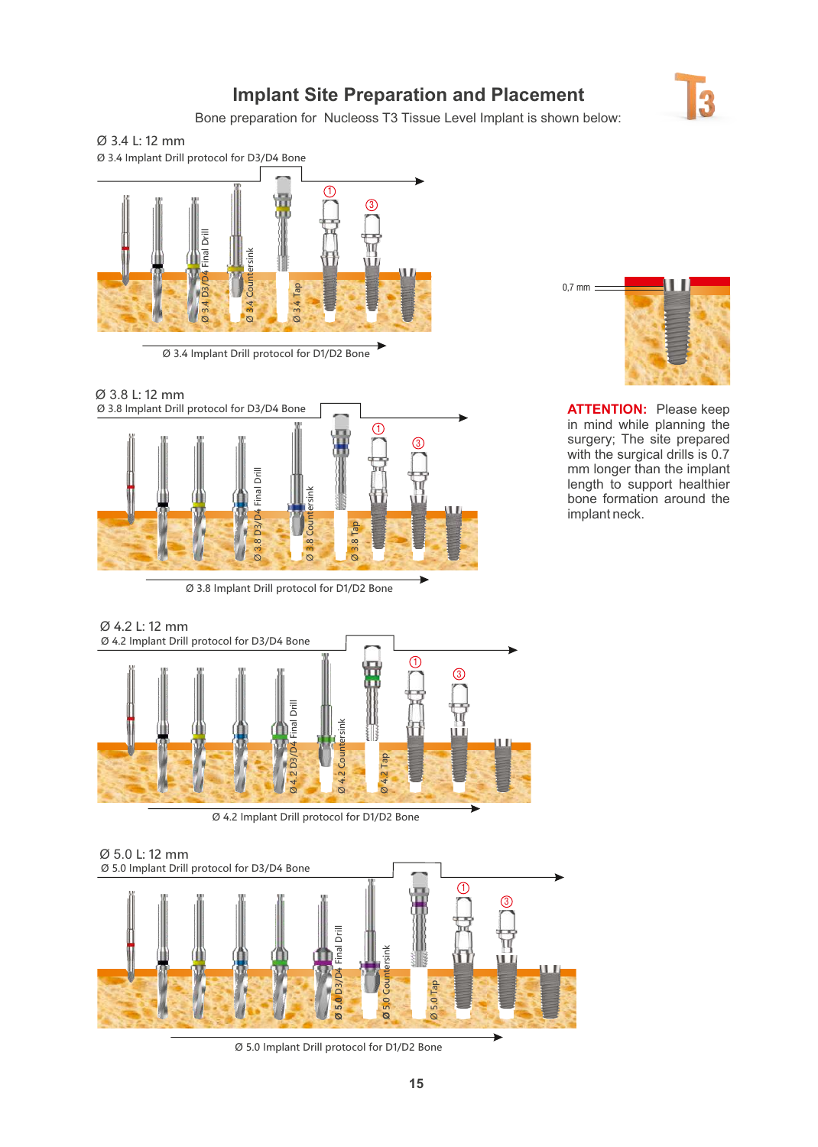## **Implant Site Preparation and Placement**



Bone preparation for Nucleoss T3 Tissue Level Implant is shown below:





Ø 3.4 Implant Drill protocol for D1/D2 Bone



Ø 3.8 Implant Drill protocol for D1/D2 Bone



**ATTENTION:** Please keep in mind while planning the surgery; The site prepared with the surgical drills is 0.7 mm longer than the implant length to support healthier bone formation around the mplant neck.



Ø 4.2 Implant Drill protocol for D1/D2 Bone



Ø 5.0 Implant Drill protocol for D1/D2 Bone